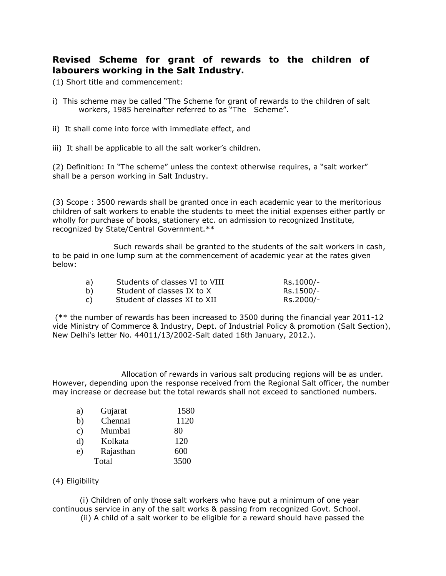# **Revised Scheme for grant of rewards to the children of labourers working in the Salt Industry.**

(1) Short title and commencement:

- i) This scheme may be called "The Scheme for grant of rewards to the children of salt workers, 1985 hereinafter referred to as "The Scheme".
- ii) It shall come into force with immediate effect, and
- iii) It shall be applicable to all the salt worker's children.

(2) Definition: In "The scheme" unless the context otherwise requires, a "salt worker" shall be a person working in Salt Industry.

(3) Scope : 3500 rewards shall be granted once in each academic year to the meritorious children of salt workers to enable the students to meet the initial expenses either partly or wholly for purchase of books, stationery etc. on admission to recognized Institute, recognized by State/Central Government.\*\*

 Such rewards shall be granted to the students of the salt workers in cash, to be paid in one lump sum at the commencement of academic year at the rates given below:

| a) | Students of classes VI to VIII | Rs.1000/- |
|----|--------------------------------|-----------|
| b) | Student of classes IX to X     | Rs.1500/- |
|    | Student of classes XI to XII   | Rs.2000/- |

(\*\* the number of rewards has been increased to 3500 during the financial year 2011-12 vide Ministry of Commerce & Industry, Dept. of Industrial Policy & promotion (Salt Section), New Delhi's letter No. 44011/13/2002-Salt dated 16th January, 2012.).

 Allocation of rewards in various salt producing regions will be as under. However, depending upon the response received from the Regional Salt officer, the number may increase or decrease but the total rewards shall not exceed to sanctioned numbers.

| a)            | Gujarat   | 1580 |
|---------------|-----------|------|
| b)            | Chennai   | 1120 |
| $\mathbf{c})$ | Mumbai    | 80   |
| d)            | Kolkata   | 120  |
| e)            | Rajasthan | 600  |
|               | Total     | 3500 |

### (4) Eligibility

(i) Children of only those salt workers who have put a minimum of one year continuous service in any of the salt works & passing from recognized Govt. School.

(ii) A child of a salt worker to be eligible for a reward should have passed the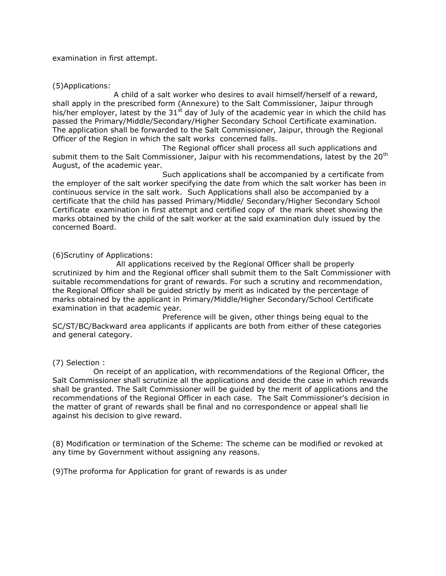examination in first attempt.

### (5)Applications:

 A child of a salt worker who desires to avail himself/herself of a reward, shall apply in the prescribed form (Annexure) to the Salt Commissioner, Jaipur through his/her employer, latest by the  $31<sup>st</sup>$  day of July of the academic year in which the child has passed the Primary/Middle/Secondary/Higher Secondary School Certificate examination. The application shall be forwarded to the Salt Commissioner, Jaipur, through the Regional Officer of the Region in which the salt works concerned falls.

 The Regional officer shall process all such applications and submit them to the Salt Commissioner, Jaipur with his recommendations, latest by the 20<sup>th</sup> August, of the academic year.

 Such applications shall be accompanied by a certificate from the employer of the salt worker specifying the date from which the salt worker has been in continuous service in the salt work. Such Applications shall also be accompanied by a certificate that the child has passed Primary/Middle/ Secondary/Higher Secondary School Certificate examination in first attempt and certified copy of the mark sheet showing the marks obtained by the child of the salt worker at the said examination duly issued by the concerned Board.

(6)Scrutiny of Applications:

 All applications received by the Regional Officer shall be properly scrutinized by him and the Regional officer shall submit them to the Salt Commissioner with suitable recommendations for grant of rewards. For such a scrutiny and recommendation, the Regional Officer shall be guided strictly by merit as indicated by the percentage of marks obtained by the applicant in Primary/Middle/Higher Secondary/School Certificate examination in that academic year.

 Preference will be given, other things being equal to the SC/ST/BC/Backward area applicants if applicants are both from either of these categories and general category.

### (7) Selection :

 On receipt of an application, with recommendations of the Regional Officer, the Salt Commissioner shall scrutinize all the applications and decide the case in which rewards shall be granted. The Salt Commissioner will be guided by the merit of applications and the recommendations of the Regional Officer in each case. The Salt Commissioner's decision in the matter of grant of rewards shall be final and no correspondence or appeal shall lie against his decision to give reward.

(8) Modification or termination of the Scheme: The scheme can be modified or revoked at any time by Government without assigning any reasons.

(9)The proforma for Application for grant of rewards is as under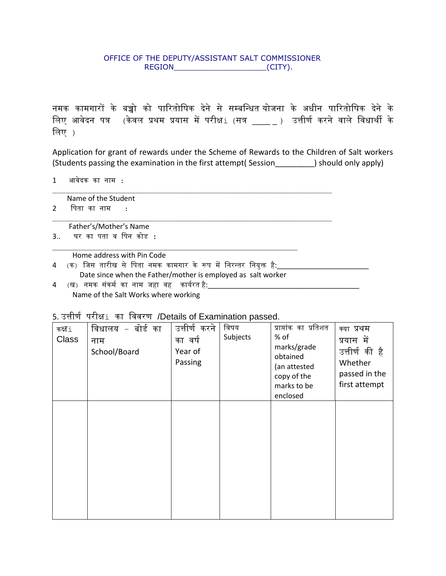## OFFICE OF THE DEPUTY/ASSISTANT SALT COMMISSIONER REGION\_\_\_\_\_\_\_\_\_\_\_\_\_\_\_\_\_\_\_\_(CITY).

नमक कामगारों के बच्चो को पारितोषिक देने से सम्बन्धित योजना के अधीन पारितोषिक देने के लिए आवेदन पत्र (केवल प्रथम प्रयास में परीक्ष $\pm$  (सत्र \_\_\_\_ ) उत्तीर्ण करने वाले विधार्थी के षिए )

Application for grant of rewards under the Scheme of Rewards to the Children of Salt workers (Students passing the examination in the first attempt( Session\_\_\_\_\_\_\_\_\_) should only apply)

1 आवेदक का नाम :

Name of the Student

2 षपता का नाम :

Father's/Mother's Name

3.. घर का पता व षपन कोड :

Home address with Pin Code

- 4 (क) जिस तारीख से पिता नमक कामगार के रूप में निरन्तर नियुक्त है:\_\_ Date since when the Father/mother is employed as salt worker
- 4 (ख) नमक संकर्म का नाम जहा वह कार्यरत है:\_\_\_ Name of the Salt Works where working

| $5.3001$ $1.301$ $1.401$ $1.443$ $1.401$ $1.401$ $1.401$ $1.401$ $1.401$ $1.401$ $1.401$ |                   |               |          |                         |                |
|------------------------------------------------------------------------------------------|-------------------|---------------|----------|-------------------------|----------------|
| कक्ष⊥                                                                                    | विधालय – बोर्ड का | उत्तीर्ण करने | विषय     | प्राप्तांक का प्रतिशत   | क्या प्रथम     |
| <b>Class</b>                                                                             | नाम               | का वर्ष       | Subjects | % of                    | प्रयास में     |
|                                                                                          | School/Board      | Year of       |          | marks/grade<br>obtained | उत्तीर्ण की है |
|                                                                                          |                   | Passing       |          | (an attested            | Whether        |
|                                                                                          |                   |               |          | copy of the             | passed in the  |
|                                                                                          |                   |               |          | marks to be             | first attempt  |
|                                                                                          |                   |               |          | enclosed                |                |
|                                                                                          |                   |               |          |                         |                |
|                                                                                          |                   |               |          |                         |                |
|                                                                                          |                   |               |          |                         |                |
|                                                                                          |                   |               |          |                         |                |
|                                                                                          |                   |               |          |                         |                |
|                                                                                          |                   |               |          |                         |                |
|                                                                                          |                   |               |          |                         |                |
|                                                                                          |                   |               |          |                         |                |
|                                                                                          |                   |               |          |                         |                |
|                                                                                          |                   |               |          |                         |                |

5. उत्तीर्ण परीक्षi का षववरर् /Details of Examination passed.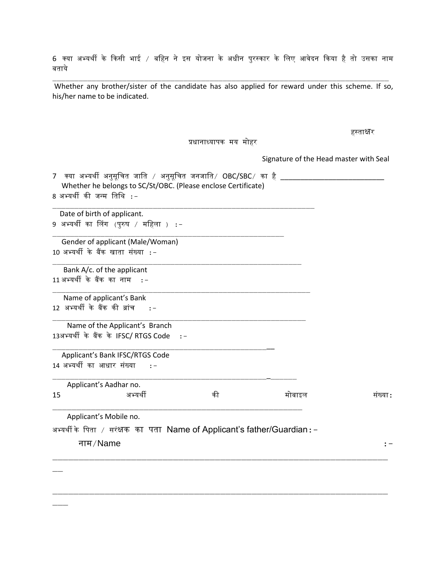6 क्या अभ्यथी के ककसी भाई / बषहन ने इस योजना के अिीन पुरस्कार के षिए आवेदन ककया है तो उसका नाम बताये

Whether any brother/sister of the candidate has also applied for reward under this scheme. If so, his/her name to be indicated.

हस्ताक्षर

प्रिानाध्यापक मय मोहर

Signature of the Head master with Seal

7 क्या अभ्यर्थी अनुसूचित जाति / अनुसूचित जनजाति/  $\mathsf{OBC}/\mathsf{SBC}/\mathsf{C}$  का है \_\_\_\_\_\_\_\_\_ Whether he belongs to SC/St/OBC. (Please enclose Certificate) 8 अभ्यर्थी की जन्म तिथि :-

 Date of birth of applicant. 9 अभ्यर्थी का लिंग (पुरुष / महिला ) :-

 Gender of applicant (Male/Woman) 10 अभ्यथी के बैंक खाता संख्या :-

 Bank A/c. of the applicant 11 अभ्यथी के बैंक का नाम :-

 Name of applicant's Bank  $12$  अभ्यर्थी के बैंक की ब्रांच :-

 Name of the Applicant's Branch 13अभ्यथी के बैंक के IFSC/ RTGS Code :-

 Applicant's Bank IFSC/RTGS Code 14 अभ्यथी का आिार संख्या :-

|    | Applicant's Aadhar no. |    |        |         |
|----|------------------------|----|--------|---------|
| 15 | अभ्यर्थी               | का | मोबाइल | सख्या : |
|    |                        |    |        |         |

Applicant's Mobile no.

अभ्यथी के षपता / सरंक्षक का पता Name of Applicant's father/Guardian:-

\_\_\_\_\_\_\_\_\_\_\_\_\_\_\_\_\_\_\_\_\_\_\_\_\_\_\_\_\_\_\_\_\_\_\_\_\_\_\_\_\_\_\_\_\_\_\_\_\_\_\_

\_\_\_\_\_\_\_\_\_\_\_\_\_\_\_\_\_\_\_\_\_\_\_\_\_\_\_\_\_\_\_\_\_\_\_\_\_\_\_\_\_\_\_\_\_\_\_\_\_\_\_\_\_\_\_\_

नाम/Name :-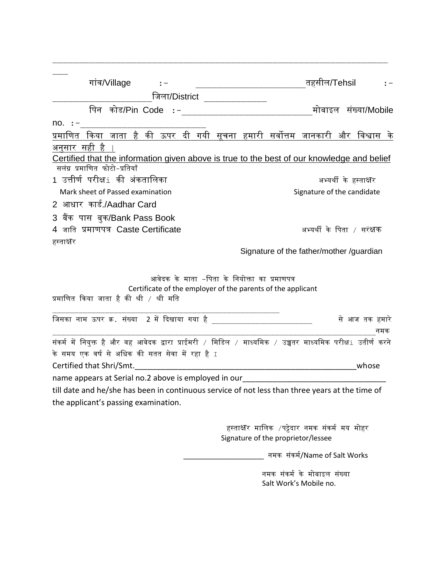| गांव/Village                                                                                                                                             | तहसील/Tehsil                                                                       |
|----------------------------------------------------------------------------------------------------------------------------------------------------------|------------------------------------------------------------------------------------|
| जिला/District <u>__________</u>                                                                                                                          |                                                                                    |
| पिन कोड/Pin Code : <i>–</i>                                                                                                                              | मोबाइल संख्या/Mobile                                                               |
| $no. :=$                                                                                                                                                 |                                                                                    |
| <u>प्रमाणित किया जाता है की ऊपर दी गयी सूचना हमारी सर्वोत्तम जानकारी और विश्वास के</u>                                                                   |                                                                                    |
| अनुसार सही है<br>Certified that the information given above is true to the best of our knowledge and belief<br>सलंग्न प्रमाणित फोटो-प्रतियाँ             |                                                                                    |
| 1 उत्तीर्ण परीक्ष⊥ की अंकतालिका                                                                                                                          | अभ्यर्थी के हस्ताक्ष <b>र</b>                                                      |
| Mark sheet of Passed examination                                                                                                                         | Signature of the candidate                                                         |
| 2  आधार  कार्ड./Aadhar Card                                                                                                                              |                                                                                    |
| 3  बैंक  पास  बुक/Bank Pass Book                                                                                                                         |                                                                                    |
| 4 जाति प्रमाणपत्र Caste Certificate                                                                                                                      | अभ्यर्थी के पिता / सरंक्षक                                                         |
| हस्ताक्षर                                                                                                                                                | Signature of the father/mother /guardian                                           |
| आवेदक के माता –पिता के नियोक्ता का प्रमाणपत्र<br>Certificate of the employer of the parents of the applicant<br>प्रमाणित किया जाता है की श्री / श्री मति |                                                                                    |
| जिसका नाम ऊपर क्र. संख्या  2 में दिखाया गया है _______________________                                                                                   | से आज तक हमारे                                                                     |
|                                                                                                                                                          | नमक                                                                                |
| संकर्म में नियुक्त है और वह आवेदक द्वारा प्राईमरी  / मिडिल  / माध्यमिक  / उच्चतर माध्यमिक परीक्ष⊥ उतीर्ण करने                                            |                                                                                    |
| के समय एक वर्ष से अधिक की सतत सेवा में रहा है $\scriptstyle\rm I$                                                                                        |                                                                                    |
|                                                                                                                                                          | whose                                                                              |
| name appears at Serial no.2 above is employed in our                                                                                                     |                                                                                    |
| till date and he/she has been in continuous service of not less than three years at the time of<br>the applicant's passing examination.                  |                                                                                    |
|                                                                                                                                                          | हस्ताक्षर मालिक ⁄पट्टेदार नमक संकर्म मय मोहर<br>Signature of the proprietor/lessee |
|                                                                                                                                                          | नमक संकर्म/Name of Salt Works                                                      |

नमक संकर्म के मोबाइल संख्या Salt Work's Mobile no.